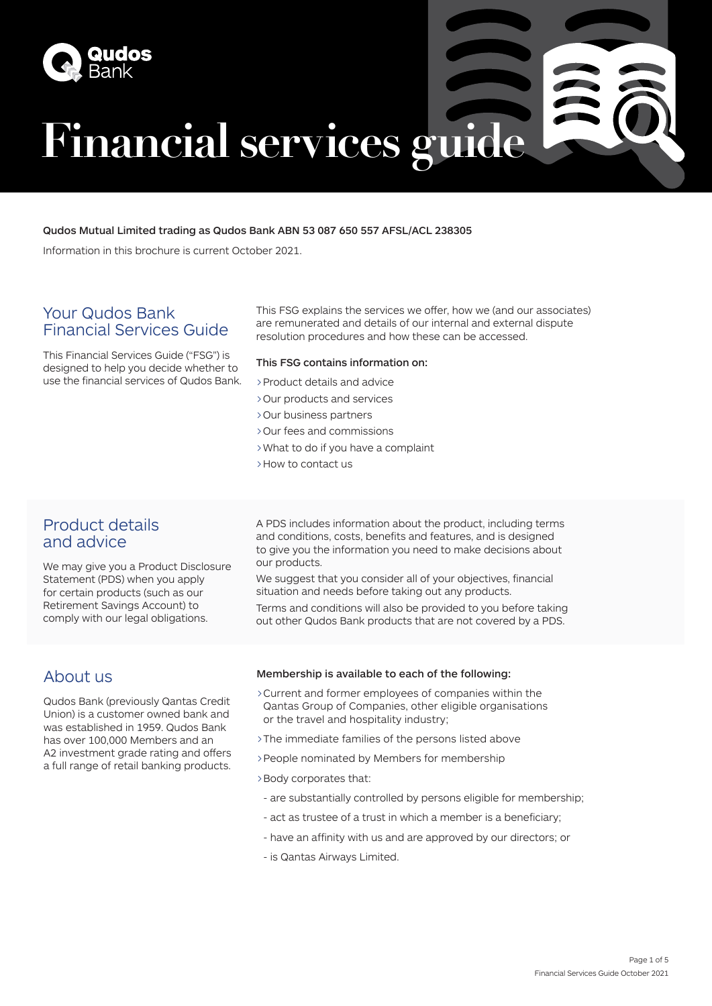

# **Financial services guide**

#### Qudos Mutual Limited trading as Qudos Bank ABN 53 087 650 557 AFSL/ACL 238305

Information in this brochure is current October 2021.

# Your Qudos Bank Financial Services Guide

This Financial Services Guide ("FSG") is designed to help you decide whether to use the financial services of Qudos Bank. This FSG explains the services we offer, how we (and our associates) are remunerated and details of our internal and external dispute resolution procedures and how these can be accessed.

#### This FSG contains information on:

- >Product details and advice
- >Our products and services
- >Our business partners
- >Our fees and commissions
- >What to do if you have a complaint
- >How to contact us

# Product details and advice

We may give you a Product Disclosure Statement (PDS) when you apply for certain products (such as our Retirement Savings Account) to comply with our legal obligations.

A PDS includes information about the product, including terms and conditions, costs, benefits and features, and is designed to give you the information you need to make decisions about our products.

We suggest that you consider all of your objectives, financial situation and needs before taking out any products. Terms and conditions will also be provided to you before taking

out other Qudos Bank products that are not covered by a PDS.

# About us

Qudos Bank (previously Qantas Credit Union) is a customer owned bank and was established in 1959. Qudos Bank has over 100,000 Members and an A2 investment grade rating and offers a full range of retail banking products.

#### Membership is available to each of the following:

- >Current and former employees of companies within the Qantas Group of Companies, other eligible organisations or the travel and hospitality industry;
- >The immediate families of the persons listed above
- >People nominated by Members for membership
- >Body corporates that:
	- are substantially controlled by persons eligible for membership;
	- act as trustee of a trust in which a member is a beneficiary;
	- have an affinity with us and are approved by our directors; or
	- is Qantas Airways Limited.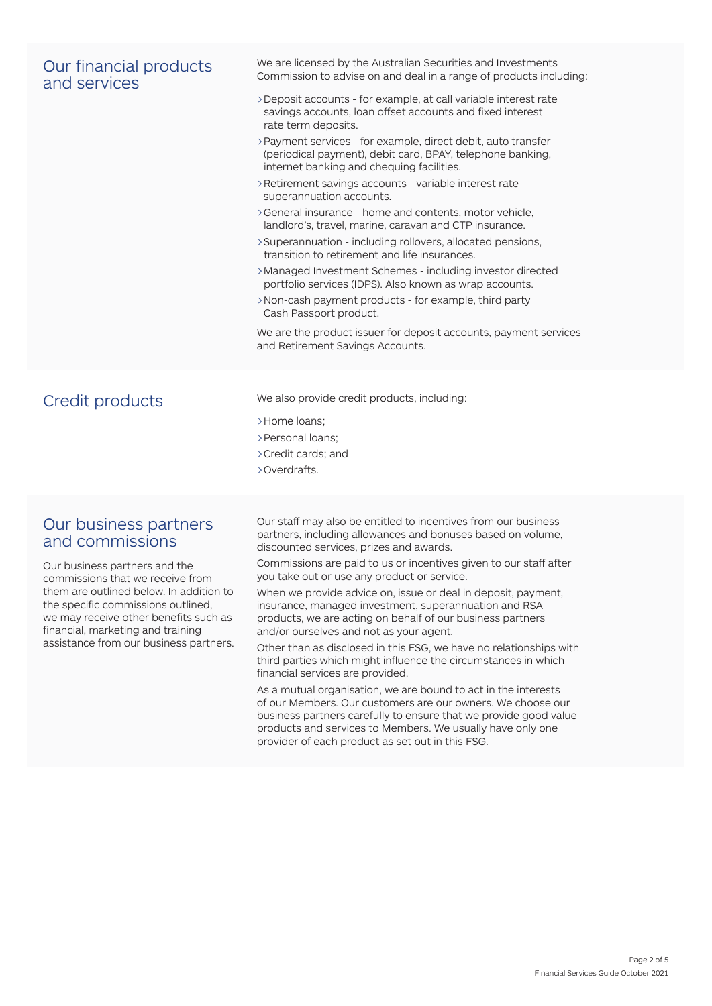### Our financial products and services

We are licensed by the Australian Securities and Investments Commission to advise on and deal in a range of products including:

- >Deposit accounts for example, at call variable interest rate savings accounts, loan offset accounts and fixed interest rate term deposits.
- >Payment services for example, direct debit, auto transfer (periodical payment), debit card, BPAY, telephone banking, internet banking and chequing facilities.
- >Retirement savings accounts variable interest rate superannuation accounts.
- >General insurance home and contents, motor vehicle, landlord's, travel, marine, caravan and CTP insurance.
- >Superannuation including rollovers, allocated pensions, transition to retirement and life insurances.
- >Managed Investment Schemes including investor directed portfolio services (IDPS). Also known as wrap accounts.
- >Non-cash payment products for example, third party Cash Passport product.

We are the product issuer for deposit accounts, payment services and Retirement Savings Accounts.

Credit products We also provide credit products, including:

- >Home loans;
- >Personal loans;
- >Credit cards; and
- >Overdrafts.

#### Our business partners and commissions

Our business partners and the commissions that we receive from them are outlined below. In addition to the specific commissions outlined, we may receive other benefits such as financial, marketing and training assistance from our business partners.

Our staff may also be entitled to incentives from our business partners, including allowances and bonuses based on volume, discounted services, prizes and awards.

Commissions are paid to us or incentives given to our staff after you take out or use any product or service.

When we provide advice on, issue or deal in deposit, payment, insurance, managed investment, superannuation and RSA products, we are acting on behalf of our business partners and/or ourselves and not as your agent.

Other than as disclosed in this FSG, we have no relationships with third parties which might influence the circumstances in which financial services are provided.

As a mutual organisation, we are bound to act in the interests of our Members. Our customers are our owners. We choose our business partners carefully to ensure that we provide good value products and services to Members. We usually have only one provider of each product as set out in this FSG.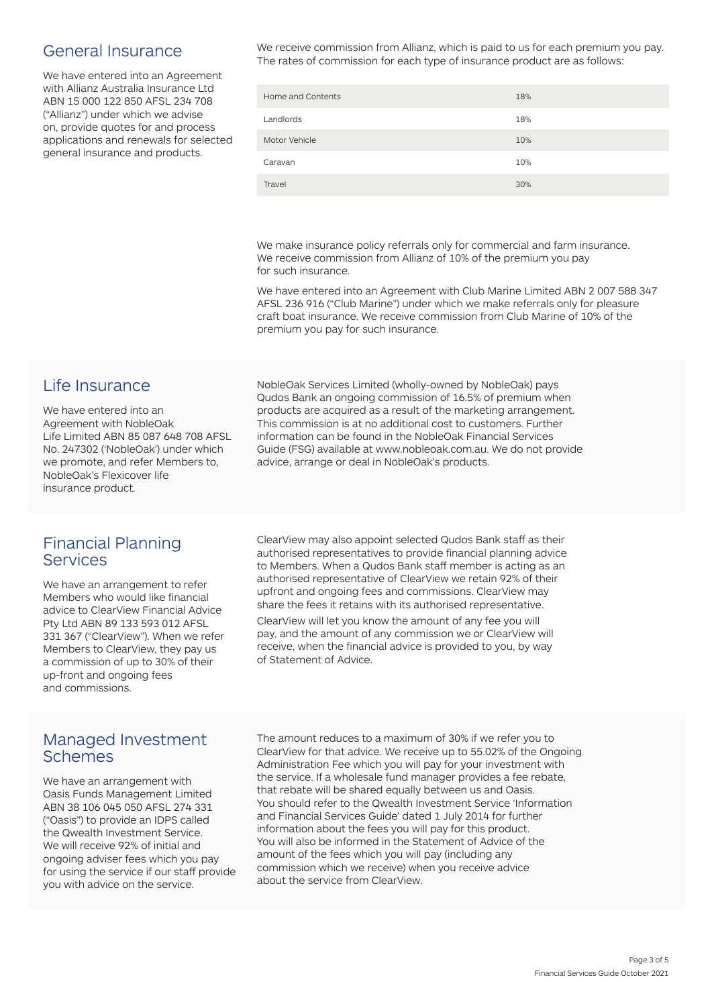# General Insurance

We have entered into an Agreement with Allianz Australia Insurance Ltd ABN 15 000 122 850 AFSL 234 708 ("Allianz") under which we advise on, provide quotes for and process applications and renewals for selected general insurance and products.

We receive commission from Allianz, which is paid to us for each premium you pay. The rates of commission for each type of insurance product are as follows:

| Home and Contents | 18% |
|-------------------|-----|
| Landlords         | 18% |
| Motor Vehicle     | 10% |
| Caravan           | 10% |
| Travel            | 30% |

We make insurance policy referrals only for commercial and farm insurance. We receive commission from Allianz of 10% of the premium you pay for such insurance.

We have entered into an Agreement with Club Marine Limited ABN 2 007 588 347 AFSL 236 916 ("Club Marine") under which we make referrals only for pleasure craft boat insurance. We receive commission from Club Marine of 10% of the premium you pay for such insurance.

# Life Insurance

We have entered into an Agreement with NobleOak Life Limited ABN 85 087 648 708 AFSL No. 247302 ('NobleOak') under which we promote, and refer Members to, NobleOak's Flexicover life insurance product.

## Financial Planning Services

We have an arrangement to refer Members who would like financial advice to ClearView Financial Advice Pty Ltd ABN 89 133 593 012 AFSL 331 367 ("ClearView"). When we refer Members to ClearView, they pay us a commission of up to 30% of their up-front and ongoing fees and commissions.

# Managed Investment Schemes

We have an arrangement with Oasis Funds Management Limited ABN 38 106 045 050 AFSL 274 331 ("Oasis") to provide an IDPS called the Qwealth Investment Service. We will receive 92% of initial and ongoing adviser fees which you pay for using the service if our staff provide you with advice on the service.

NobleOak Services Limited (wholly-owned by NobleOak) pays Qudos Bank an ongoing commission of 16.5% of premium when products are acquired as a result of the marketing arrangement. This commission is at no additional cost to customers. Further information can be found in the NobleOak Financial Services Guide (FSG) available at www.nobleoak.com.au. We do not provide advice, arrange or deal in NobleOak's products.

ClearView may also appoint selected Qudos Bank staff as their authorised representatives to provide financial planning advice to Members. When a Qudos Bank staff member is acting as an authorised representative of ClearView we retain 92% of their upfront and ongoing fees and commissions. ClearView may share the fees it retains with its authorised representative.

ClearView will let you know the amount of any fee you will pay, and the amount of any commission we or ClearView will receive, when the financial advice is provided to you, by way of Statement of Advice.

The amount reduces to a maximum of 30% if we refer you to ClearView for that advice. We receive up to 55.02% of the Ongoing Administration Fee which you will pay for your investment with the service. If a wholesale fund manager provides a fee rebate, that rebate will be shared equally between us and Oasis. You should refer to the Qwealth Investment Service 'Information and Financial Services Guide' dated 1 July 2014 for further information about the fees you will pay for this product. You will also be informed in the Statement of Advice of the amount of the fees which you will pay (including any commission which we receive) when you receive advice about the service from ClearView.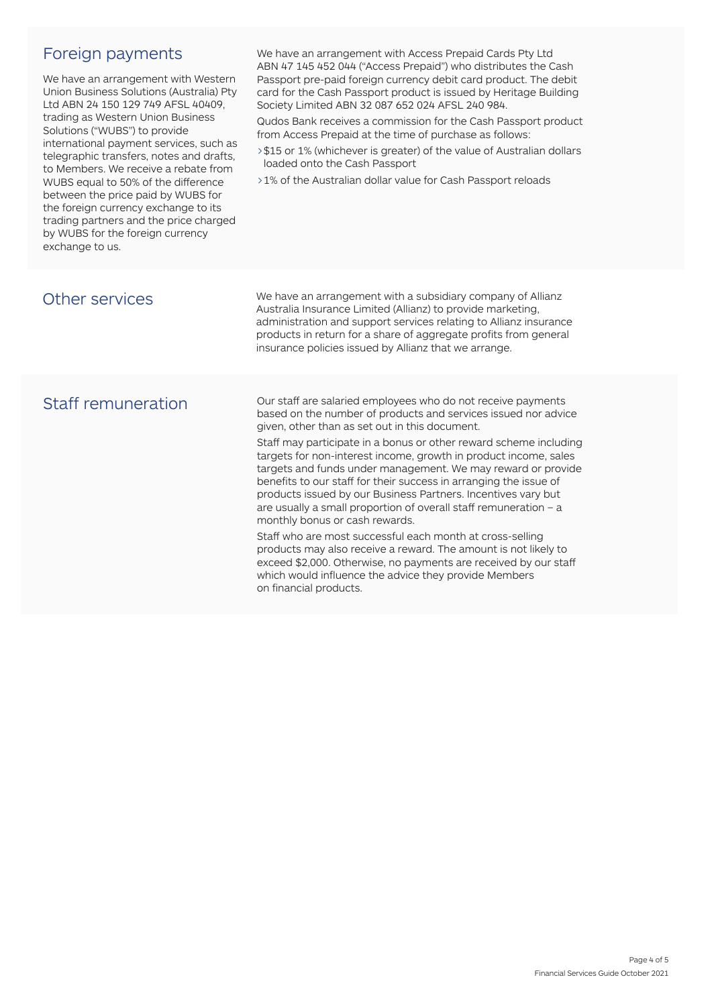# Foreign payments

We have an arrangement with Western Union Business Solutions (Australia) Pty Ltd ABN 24 150 129 749 AFSL 40409, trading as Western Union Business Solutions ("WUBS") to provide international payment services, such as telegraphic transfers, notes and drafts, to Members. We receive a rebate from WUBS equal to 50% of the difference between the price paid by WUBS for the foreign currency exchange to its trading partners and the price charged by WUBS for the foreign currency exchange to us.

We have an arrangement with Access Prepaid Cards Pty Ltd ABN 47 145 452 044 ("Access Prepaid") who distributes the Cash Passport pre-paid foreign currency debit card product. The debit card for the Cash Passport product is issued by Heritage Building Society Limited ABN 32 087 652 024 AFSL 240 984.

Qudos Bank receives a commission for the Cash Passport product from Access Prepaid at the time of purchase as follows:

- >\$15 or 1% (whichever is greater) of the value of Australian dollars loaded onto the Cash Passport
- >1% of the Australian dollar value for Cash Passport reloads

| Other services     | We have an arrangement with a subsidiary company of Allianz<br>Australia Insurance Limited (Allianz) to provide marketing,<br>administration and support services relating to Allianz insurance<br>products in return for a share of aggregate profits from general<br>insurance policies issued by Allianz that we arrange.                                                                                                                                                                                                                                                                                                                                                                                                                                                                                                                                                                         |
|--------------------|------------------------------------------------------------------------------------------------------------------------------------------------------------------------------------------------------------------------------------------------------------------------------------------------------------------------------------------------------------------------------------------------------------------------------------------------------------------------------------------------------------------------------------------------------------------------------------------------------------------------------------------------------------------------------------------------------------------------------------------------------------------------------------------------------------------------------------------------------------------------------------------------------|
| Staff remuneration | Our staff are salaried employees who do not receive payments<br>based on the number of products and services issued nor advice<br>given, other than as set out in this document.<br>Staff may participate in a bonus or other reward scheme including<br>targets for non-interest income, growth in product income, sales<br>targets and funds under management. We may reward or provide<br>benefits to our staff for their success in arranging the issue of<br>products issued by our Business Partners. Incentives vary but<br>are usually a small proportion of overall staff remuneration $-$ a<br>monthly bonus or cash rewards.<br>Staff who are most successful each month at cross-selling<br>products may also receive a reward. The amount is not likely to<br>exceed \$2,000. Otherwise, no payments are received by our staff<br>which would influence the advice they provide Members |

on financial products.